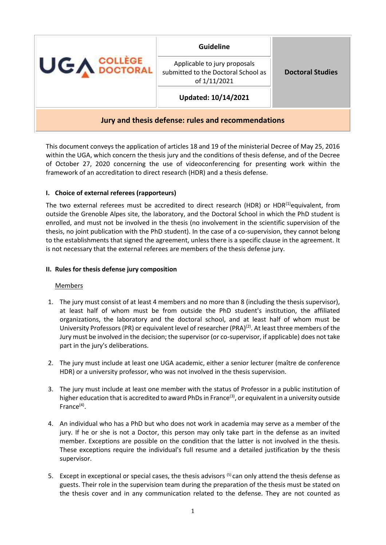| <b>UGA COLLÈGE</b>                                 | <b>Guideline</b>                                                                      | <b>Doctoral Studies</b> |
|----------------------------------------------------|---------------------------------------------------------------------------------------|-------------------------|
|                                                    | Applicable to jury proposals<br>submitted to the Doctoral School as<br>of $1/11/2021$ |                         |
|                                                    | Updated: 10/14/2021                                                                   |                         |
| Jury and thesis defense: rules and recommendations |                                                                                       |                         |

This document conveys the application of articles 18 and 19 of the ministerial Decree of May 25, 2016 within the UGA, which concern the thesis jury and the conditions of thesis defense, and of the Decree of October 27, 2020 concerning the use of videoconferencing for presenting work within the framework of an accreditation to direct research (HDR) and a thesis defense.

# **I. Choice of external referees (rapporteurs)**

The two external referees must be accredited to direct research (HDR) or HDR $^{(1)}$ equivalent, from outside the Grenoble Alpes site, the laboratory, and the Doctoral School in which the PhD student is enrolled, and must not be involved in the thesis (no involvement in the scientific supervision of the thesis, no joint publication with the PhD student). In the case of a co-supervision, they cannot belong to the establishments that signed the agreement, unless there is a specific clause in the agreement. It is not necessary that the external referees are members of the thesis defense jury.

#### **II. Rules for thesis defense jury composition**

#### **Members**

- 1. The jury must consist of at least 4 members and no more than 8 (including the thesis supervisor), at least half of whom must be from outside the PhD student's institution, the affiliated organizations, the laboratory and the doctoral school, and at least half of whom must be University Professors (PR) or equivalent level of researcher (PRA) $^{(2)}$ . At least three members of the Jury must be involved in the decision; the supervisor (or co-supervisor, if applicable) does not take part in the jury's deliberations.
- 2. The jury must include at least one UGA academic, either a senior lecturer (maître de conference HDR) or a university professor, who was not involved in the thesis supervision.
- 3. The jury must include at least one member with the status of Professor in a public institution of higher education that is accredited to award PhDs in France<sup>(3)</sup>, or equivalent in a university outside France<sup>(4)</sup>.
- 4. An individual who has a PhD but who does not work in academia may serve as a member of the jury. If he or she is not a Doctor, this person may only take part in the defense as an invited member. Exceptions are possible on the condition that the latter is not involved in the thesis. These exceptions require the individual's full resume and a detailed justification by the thesis supervisor.
- 5. Except in exceptional or special cases, the thesis advisors <sup>(5)</sup> can only attend the thesis defense as guests. Their role in the supervision team during the preparation of the thesis must be stated on the thesis cover and in any communication related to the defense. They are not counted as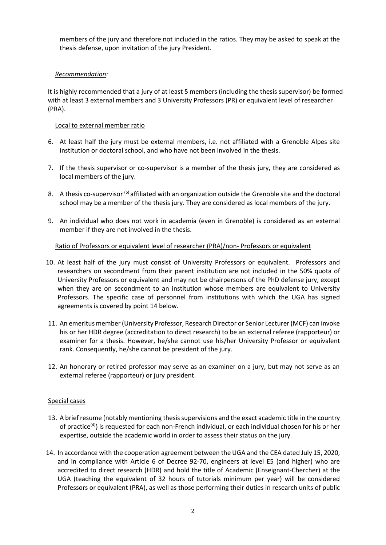members of the jury and therefore not included in the ratios. They may be asked to speak at the thesis defense, upon invitation of the jury President.

# *Recommendation:*

It is highly recommended that a jury of at least 5 members (including the thesis supervisor) be formed with at least 3 external members and 3 University Professors (PR) or equivalent level of researcher (PRA).

#### Local to external member ratio

- 6. At least half the jury must be external members, i.e. not affiliated with a Grenoble Alpes site institution or doctoral school, and who have not been involved in the thesis.
- 7. If the thesis supervisor or co-supervisor is a member of the thesis jury, they are considered as local members of the jury.
- 8. A thesis co-supervisor <sup>(5)</sup> affiliated with an organization outside the Grenoble site and the doctoral school may be a member of the thesis jury. They are considered as local members of the jury.
- 9. An individual who does not work in academia (even in Grenoble) is considered as an external member if they are not involved in the thesis.

## Ratio of Professors or equivalent level of researcher (PRA)/non- Professors or equivalent

- 10. At least half of the jury must consist of University Professors or equivalent. Professors and researchers on secondment from their parent institution are not included in the 50% quota of University Professors or equivalent and may not be chairpersons of the PhD defense jury, except when they are on secondment to an institution whose members are equivalent to University Professors. The specific case of personnel from institutions with which the UGA has signed agreements is covered by point 14 below.
- 11. An emeritus member (University Professor, Research Director or Senior Lecturer (MCF) can invoke his or her HDR degree (accreditation to direct research) to be an external referee (rapporteur) or examiner for a thesis. However, he/she cannot use his/her University Professor or equivalent rank. Consequently, he/she cannot be president of the jury.
- 12. An honorary or retired professor may serve as an examiner on a jury, but may not serve as an external referee (rapporteur) or jury president.

#### Special cases

- 13. A brief resume (notably mentioning thesis supervisions and the exact academic title in the country of practice<sup>(4)</sup>) is requested for each non-French individual, or each individual chosen for his or her expertise, outside the academic world in order to assess their status on the jury.
- 14. In accordance with the cooperation agreement between the UGA and the CEA dated July 15, 2020, and in compliance with Article 6 of Decree 92-70, engineers at level E5 (and higher) who are accredited to direct research (HDR) and hold the title of Academic (Enseignant-Chercher) at the UGA (teaching the equivalent of 32 hours of tutorials minimum per year) will be considered Professors or equivalent (PRA), as well as those performing their duties in research units of public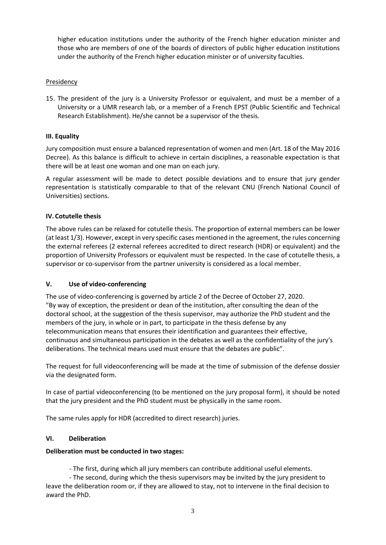higher education institutions under the authority of the French higher education minister and those who are members of one of the boards of directors of public higher education institutions under the authority of the French higher education minister or of university faculties.

## Presidency

15. The president of the jury is a University Professor or equivalent, and must be a member of a University or a UMR research lab, or a member of a French EPST (Public Scientific and Technical Research Establishment). He/she cannot be a supervisor of the thesis.

### **III. Equality**

Jury composition must ensure a balanced representation of women and men (Art. 18 of the May 2016 Decree). As this balance is difficult to achieve in certain disciplines, a reasonable expectation is that there will be at least one woman and one man on each jury.

A regular assessment will be made to detect possible deviations and to ensure that jury gender representation is statistically comparable to that of the relevant CNU (French National Council of Universities) sections.

## **IV. Cotutelle thesis**

The above rules can be relaxed for cotutelle thesis. The proportion of external members can be lower (at least 1/3). However, except in very specific cases mentioned in the agreement, the rules concerning the external referees (2 external referees accredited to direct research (HDR) or equivalent) and the proportion of University Professors or equivalent must be respected. In the case of cotutelle thesis, a supervisor or co-supervisor from the partner university is considered as a local member.

#### **V. Use of video-conferencing**

The use of video-conferencing is governed by article 2 of the Decree of October 27, 2020. "By way of exception, the president or dean of the institution, after consulting the dean of the doctoral school, at the suggestion of the thesis supervisor, may authorize the PhD student and the members of the jury, in whole or in part, to participate in the thesis defense by any telecommunication means that ensures their identification and guarantees their effective, continuous and simultaneous participation in the debates as well as the confidentiality of the jury's deliberations. The technical means used must ensure that the debates are public".

The request for full videoconferencing will be made at the time of submission of the defense dossier via the designated form.

In case of partial videoconferencing (to be mentioned on the jury proposal form), it should be noted that the jury president and the PhD student must be physically in the same room.

The same rules apply for HDR (accredited to direct research) juries.

# **VI. Deliberation**

### **Deliberation must be conducted in two stages:**

- The first, during which all jury members can contribute additional useful elements.

- The second, during which the thesis supervisors may be invited by the jury president to leave the deliberation room or, if they are allowed to stay, not to intervene in the final decision to award the PhD.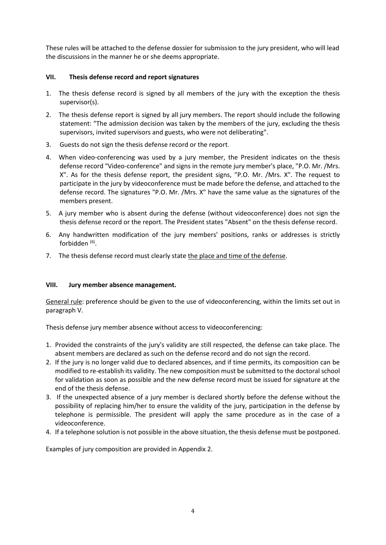These rules will be attached to the defense dossier for submission to the jury president, who will lead the discussions in the manner he or she deems appropriate.

# **VII. Thesis defense record and report signatures**

- 1. The thesis defense record is signed by all members of the jury with the exception the thesis supervisor(s).
- 2. The thesis defense report is signed by all jury members. The report should include the following statement: "The admission decision was taken by the members of the jury, excluding the thesis supervisors, invited supervisors and guests, who were not deliberating".
- 3. Guests do not sign the thesis defense record or the report.
- 4. When video-conferencing was used by a jury member, the President indicates on the thesis defense record "Video-conference" and signs in the remote jury member's place, "P.O. Mr. /Mrs. X". As for the thesis defense report, the president signs, "P.O. Mr. /Mrs. X". The request to participate in the jury by videoconference must be made before the defense, and attached to the defense record. The signatures "P.O. Mr. /Mrs. X" have the same value as the signatures of the members present.
- 5. A jury member who is absent during the defense (without videoconference) does not sign the thesis defense record or the report. The President states "Absent" on the thesis defense record.
- 6. Any handwritten modification of the jury members' positions, ranks or addresses is strictly forbidden <sup>(6)</sup>.
- 7. The thesis defense record must clearly state the place and time of the defense.

# **VIII. Jury member absence management.**

General rule: preference should be given to the use of videoconferencing, within the limits set out in paragraph V.

Thesis defense jury member absence without access to videoconferencing:

- 1. Provided the constraints of the jury's validity are still respected, the defense can take place. The absent members are declared as such on the defense record and do not sign the record.
- 2. If the jury is no longer valid due to declared absences, and if time permits, its composition can be modified to re-establish its validity. The new composition must be submitted to the doctoral school for validation as soon as possible and the new defense record must be issued for signature at the end of the thesis defense.
- 3. If the unexpected absence of a jury member is declared shortly before the defense without the possibility of replacing him/her to ensure the validity of the jury, participation in the defense by telephone is permissible. The president will apply the same procedure as in the case of a videoconference.
- 4. If a telephone solution is not possible in the above situation, the thesis defense must be postponed.

Examples of jury composition are provided in Appendix 2.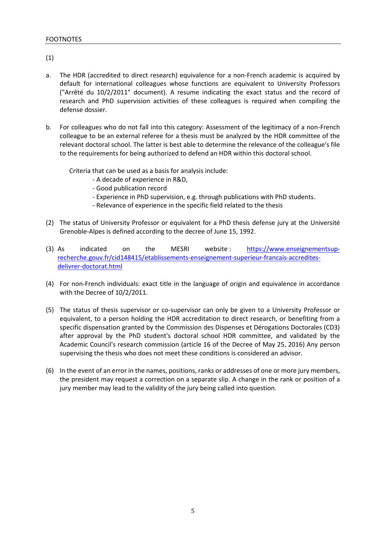(1)

- a. The HDR (accredited to direct research) equivalence for a non-French academic is acquired by default for international colleagues whose functions are equivalent to University Professors ("Arrêté du 10/2/2011" document). A resume indicating the exact status and the record of research and PhD supervision activities of these colleagues is required when compiling the defense dossier.
- b. For colleagues who do not fall into this category: Assessment of the legitimacy of a non-French colleague to be an external referee for a thesis must be analyzed by the HDR committee of the relevant doctoral school. The latter is best able to determine the relevance of the colleague's file to the requirements for being authorized to defend an HDR within this doctoral school.

Criteria that can be used as a basis for analysis include:

- A decade of experience in R&D,
- Good publication record
- Experience in PhD supervision, e.g. through publications with PhD students.
- Relevance of experience in the specific field related to the thesis
- (2) The status of University Professor or equivalent for a PhD thesis defense jury at the Université Grenoble-Alpes is defined according to the decree of June 15, 1992.
- (3) As indicated on the MESRI website: [https://www.enseignementsup](https://www.enseignementsup-recherche.gouv.fr/cid148415/etablissements-enseignement-superieur-francais-accredites-delivrer-doctorat.html)[recherche.gouv.fr/cid148415/etablissements-enseignement-superieur-francais-accredites](https://www.enseignementsup-recherche.gouv.fr/cid148415/etablissements-enseignement-superieur-francais-accredites-delivrer-doctorat.html)[delivrer-doctorat.html](https://www.enseignementsup-recherche.gouv.fr/cid148415/etablissements-enseignement-superieur-francais-accredites-delivrer-doctorat.html)
- (4) For non-French individuals: exact title in the language of origin and equivalence in accordance with the Decree of 10/2/2011.
- (5) The status of thesis supervisor or co-supervisor can only be given to a University Professor or equivalent, to a person holding the HDR accreditation to direct research, or benefiting from a specific dispensation granted by the Commission des Dispenses et Dérogations Doctorales (CD3) after approval by the PhD student's doctoral school HDR committee, and validated by the Academic Council's research commission (article 16 of the Decree of May 25, 2016) Any person supervising the thesis who does not meet these conditions is considered an advisor.
- (6) In the event of an error in the names, positions, ranks or addresses of one or more jury members, the president may request a correction on a separate slip. A change in the rank or position of a jury member may lead to the validity of the jury being called into question.